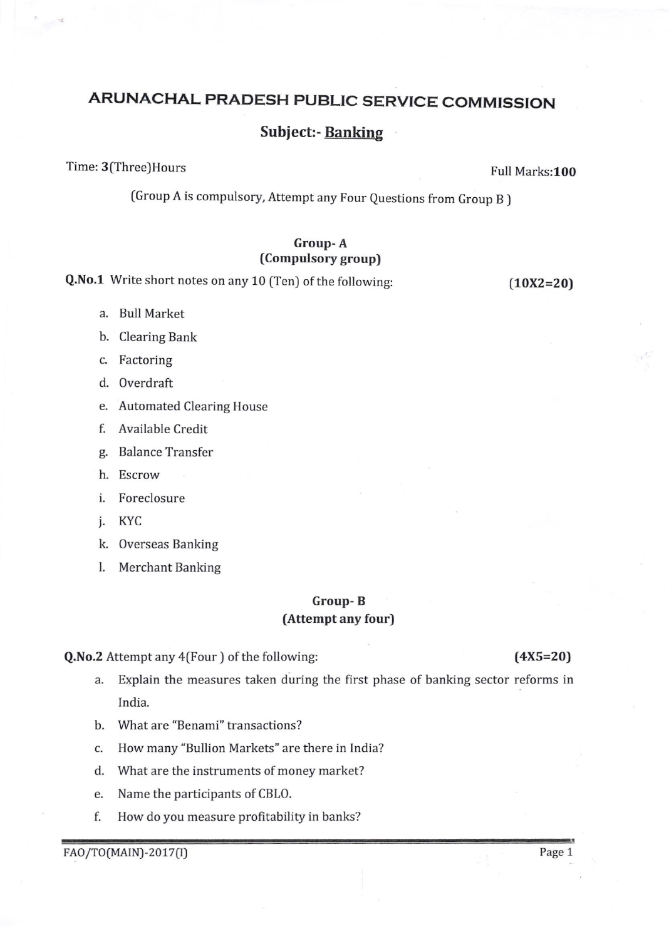# ARUNACHAL PRADESH PUBLIC SERVICE COMMISSION

## Subject:- Banking

Time: 3(Three)Hours **Full Marks:100** 

(Group A is compulsory, Attempt any Four Questions from Group B )

#### Group- A fCompulsory group)

Q.No.1 Write short notes on any 10 (Ten) of the following: (10X2=20)

- a. Bull Market
- b. Clearing Bank
- c. Factoring
- d. Overdraft
- e. Automated Clearing House
- f. Available Credit
- g. Balance Transfer
- h. Escrow
- i. Foreclosure
- j. KYC
- k. Overseas Banking
- l. Merchant Banking

### Group- B (Attempt any four)

Q.No.2 Attempt any 4(Four ) of the following: (4X5=20)

- a. Explain the measures taken during the first phase of banking sector reforms in lndia.
- b. What are "Benami" transactions?
- c. How many "Bullion Markets" are there in India?
- d. What are the instruments of money market?
- e. Name the participants of CBLO.
- f. How do you measure profitability in banks?

FAO/TO(MAIN)-2017(I) Page 1